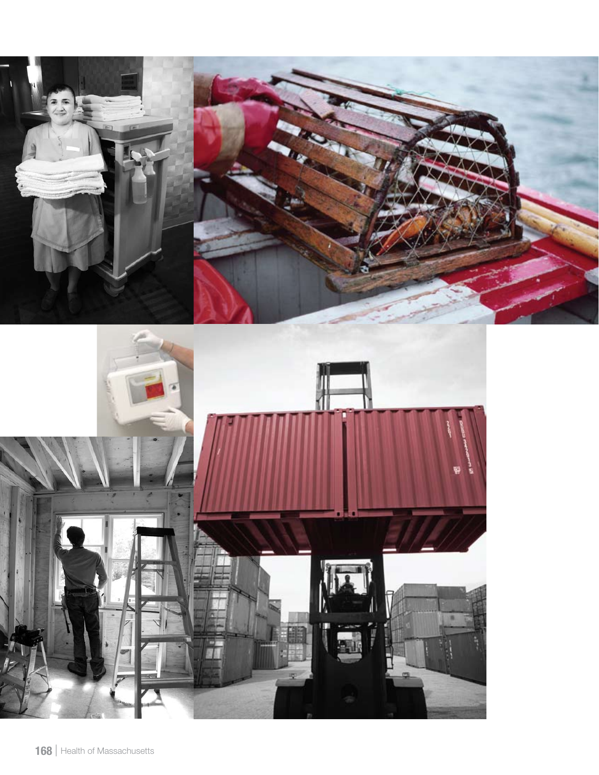

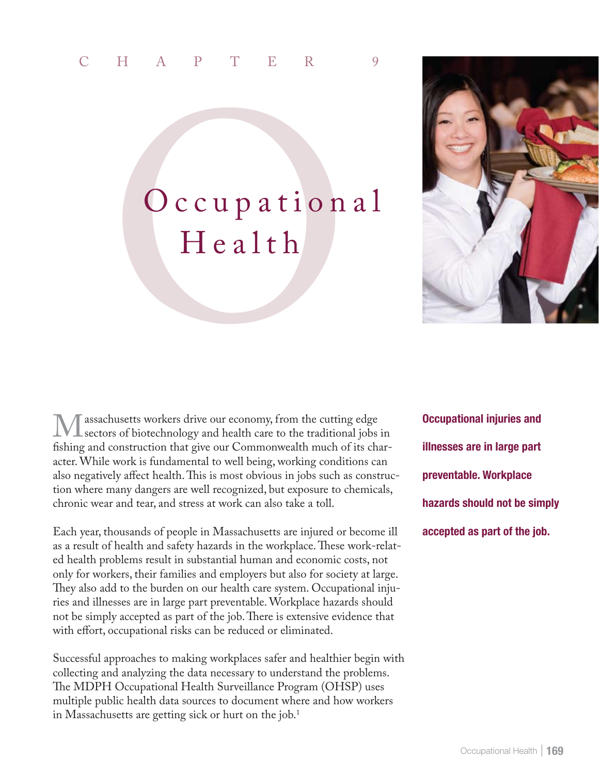# O c c u p a t i o n a l Health



**M** assachusetts workers drive our economy, from the cutting edge<br>sectors of biotechnology and health care to the traditional jobs<br>fishing and construction that give our Commonwealth much of its cha sectors of biotechnology and health care to the traditional jobs in fishing and construction that give our Commonwealth much of its character. While work is fundamental to well being, working conditions can also negatively affect health. This is most obvious in jobs such as construction where many dangers are well recognized, but exposure to chemicals, chronic wear and tear, and stress at work can also take a toll.

Each year, thousands of people in Massachusetts are injured or become ill as a result of health and safety hazards in the workplace. These work-related health problems result in substantial human and economic costs, not only for workers, their families and employers but also for society at large. They also add to the burden on our health care system. Occupational injuries and illnesses are in large part preventable. Workplace hazards should not be simply accepted as part of the job. There is extensive evidence that with effort, occupational risks can be reduced or eliminated.

Successful approaches to making workplaces safer and healthier begin with collecting and analyzing the data necessary to understand the problems. The MDPH Occupational Health Surveillance Program (OHSP) uses multiple public health data sources to document where and how workers in Massachusetts are getting sick or hurt on the job.<sup>1</sup>

Occupational injuries and illnesses are in large part preventable. Workplace hazards should not be simply accepted as part of the job.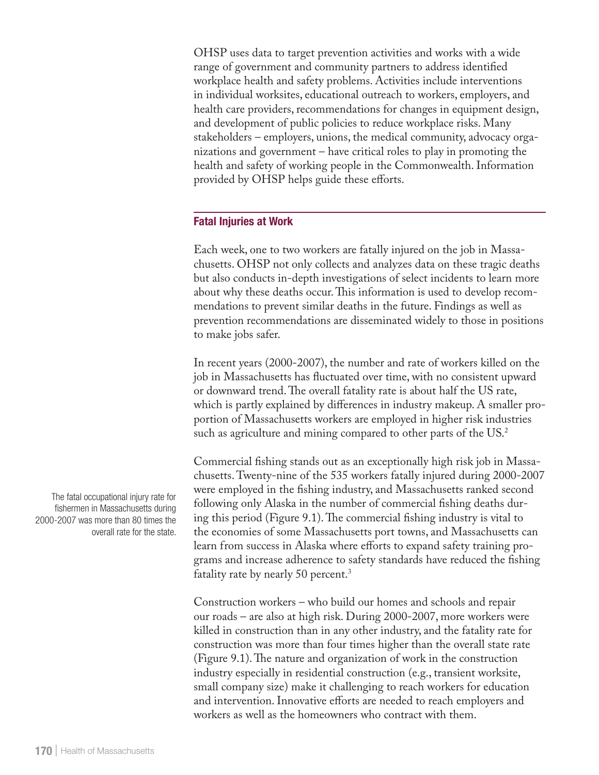OHSP uses data to target prevention activities and works with a wide range of government and community partners to address identified workplace health and safety problems. Activities include interventions in individual worksites, educational outreach to workers, employers, and health care providers, recommendations for changes in equipment design, and development of public policies to reduce workplace risks. Many stakeholders – employers, unions, the medical community, advocacy organizations and government – have critical roles to play in promoting the health and safety of working people in the Commonwealth. Information provided by OHSP helps guide these efforts.

#### Fatal Injuries at Work

Each week, one to two workers are fatally injured on the job in Massachusetts. OHSP not only collects and analyzes data on these tragic deaths but also conducts in-depth investigations of select incidents to learn more about why these deaths occur. This information is used to develop recommendations to prevent similar deaths in the future. Findings as well as prevention recommendations are disseminated widely to those in positions to make jobs safer.

In recent years (2000-2007), the number and rate of workers killed on the job in Massachusetts has fluctuated over time, with no consistent upward or downward trend. The overall fatality rate is about half the US rate, which is partly explained by differences in industry makeup. A smaller proportion of Massachusetts workers are employed in higher risk industries such as agriculture and mining compared to other parts of the US.<sup>2</sup>

Commercial fishing stands out as an exceptionally high risk job in Massachusetts. Twenty-nine of the 535 workers fatally injured during 2000-2007 were employed in the fishing industry, and Massachusetts ranked second following only Alaska in the number of commercial fishing deaths during this period (Figure 9.1). The commercial fishing industry is vital to the economies of some Massachusetts port towns, and Massachusetts can learn from success in Alaska where efforts to expand safety training programs and increase adherence to safety standards have reduced the fishing fatality rate by nearly 50 percent.3

Construction workers – who build our homes and schools and repair our roads – are also at high risk. During 2000-2007, more workers were killed in construction than in any other industry, and the fatality rate for construction was more than four times higher than the overall state rate (Figure 9.1). The nature and organization of work in the construction industry especially in residential construction (e.g., transient worksite, small company size) make it challenging to reach workers for education and intervention. Innovative efforts are needed to reach employers and workers as well as the homeowners who contract with them.

The fatal occupational injury rate for fishermen in Massachusetts during 2000-2007 was more than 80 times the overall rate for the state.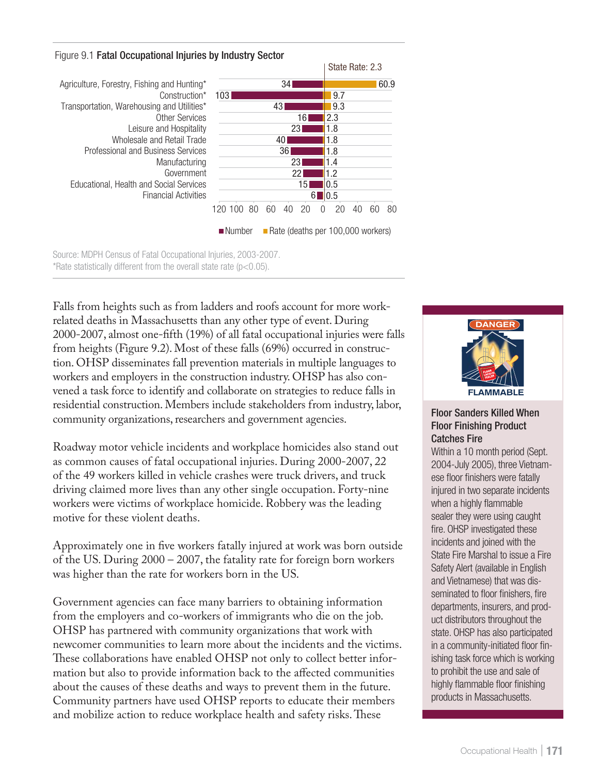#### Figure 9.1 Fatal Occupational Injuries by Industry Sector



Source: MDPH Census of Fatal Occupational Injuries, 2003-2007. \*Rate statistically different from the overall state rate (p<0.05).

 related deaths in Massachusetts than any other type of event. During 2000-2007, almost one-fifth (19%) of all fatal occupational injuries were falls tion. OHSP disseminates fall prevention materials in multiple languages to Falls from heights such as from ladders and roofs account for more workfrom heights (Figure 9.2). Most of these falls (69%) occurred in construcworkers and employers in the construction industry. OHSP has also convened a task force to identify and collaborate on strategies to reduce falls in residential construction. Members include stakeholders from industry, labor, community organizations, researchers and government agencies.

Roadway motor vehicle incidents and workplace homicides also stand out as common causes of fatal occupational injuries. During 2000-2007, 22 of the 49 workers killed in vehicle crashes were truck drivers, and truck driving claimed more lives than any other single occupation. Forty-nine workers were victims of workplace homicide. Robbery was the leading motive for these violent deaths.

Approximately one in five workers fatally injured at work was born outside of the US. During 2000 – 2007, the fatality rate for foreign born workers was higher than the rate for workers born in the US.

Government agencies can face many barriers to obtaining information from the employers and co-workers of immigrants who die on the job. OHSP has partnered with community organizations that work with newcomer communities to learn more about the incidents and the victims. These collaborations have enabled OHSP not only to collect better information but also to provide information back to the affected communities about the causes of these deaths and ways to prevent them in the future. Community partners have used OHSP reports to educate their members and mobilize action to reduce workplace health and safety risks. These



#### Floor Sanders Killed When Floor Finishing Product Catches Fire

 injured in two separate incidents when a highly flammable sealer they were using caught fire. OHSP investigated these incidents and joined with the State Fire Marshal to issue a Fire Safety Alert (available in English seminated to floor finishers, fire uct distributors throughout the state. OHSP has also participated ishing task force which is working to prohibit the use and sale of highly flammable floor finishing Within a 10 month period (Sept. 2004-July 2005), three Vietnamese floor finishers were fatally and Vietnamese) that was disdepartments, insurers, and prodin a community-initiated floor finproducts in Massachusetts.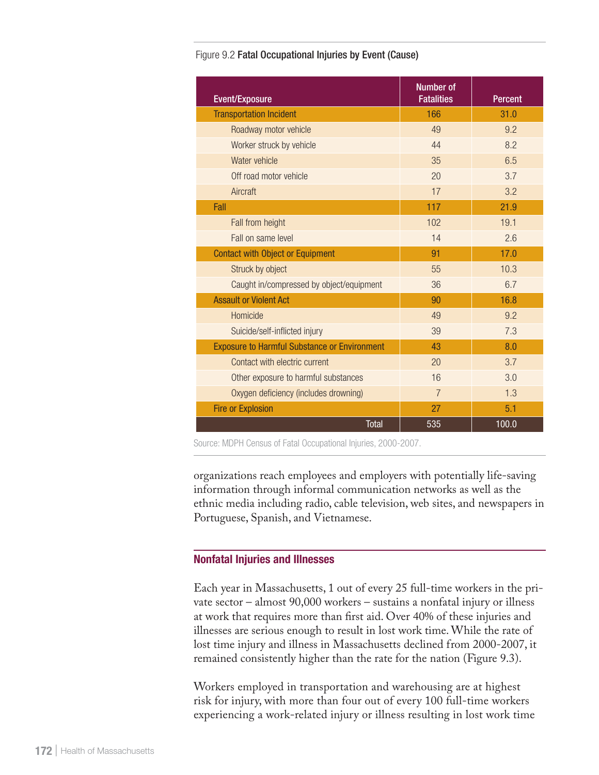| <b>Event/Exposure</b>                               | <b>Number of</b><br><b>Fatalities</b> | <b>Percent</b> |
|-----------------------------------------------------|---------------------------------------|----------------|
| <b>Transportation Incident</b>                      | 166                                   | 31.0           |
| Roadway motor vehicle                               | 49                                    | 9.2            |
| Worker struck by vehicle                            | 44                                    | 8.2            |
| <b>Water vehicle</b>                                | 35                                    | 6.5            |
| Off road motor vehicle                              | 20                                    | 3.7            |
| Aircraft                                            | 17                                    | 3.2            |
| Fall                                                | 117                                   | 21.9           |
| Fall from height                                    | 102                                   | 19.1           |
| Fall on same level                                  | 14                                    | 2.6            |
| <b>Contact with Object or Equipment</b>             | 91                                    | 17.0           |
| Struck by object                                    | 55                                    | 10.3           |
| Caught in/compressed by object/equipment            | 36                                    | 6.7            |
| <b>Assault or Violent Act</b>                       | 90                                    | 16.8           |
| Homicide                                            | 49                                    | 9.2            |
| Suicide/self-inflicted injury                       | 39                                    | 7.3            |
| <b>Exposure to Harmful Substance or Environment</b> | 43                                    | 8.0            |
| Contact with electric current                       | 20                                    | 3.7            |
| Other exposure to harmful substances                | 16                                    | 3.0            |
| Oxygen deficiency (includes drowning)               | $\overline{7}$                        | 1.3            |
| <b>Fire or Explosion</b>                            | 27                                    | 5.1            |
| <b>Total</b>                                        | 535                                   | 100.0          |

#### Figure 9.2 Fatal Occupational Injuries by Event (Cause)

Source: MDPH Census of Fatal Occupational Injuries, 2000-2007.

organizations reach employees and employers with potentially life-saving information through informal communication networks as well as the ethnic media including radio, cable television, web sites, and newspapers in Portuguese, Spanish, and Vietnamese.

#### Nonfatal Injuries and Illnesses

Each year in Massachusetts, 1 out of every 25 full-time workers in the private sector – almost 90,000 workers – sustains a nonfatal injury or illness at work that requires more than first aid. Over 40% of these injuries and illnesses are serious enough to result in lost work time. While the rate of lost time injury and illness in Massachusetts declined from 2000-2007, it remained consistently higher than the rate for the nation (Figure 9.3).

 Workers employed in transportation and warehousing are at highest risk for injury, with more than four out of every 100 full-time workers experiencing a work-related injury or illness resulting in lost work time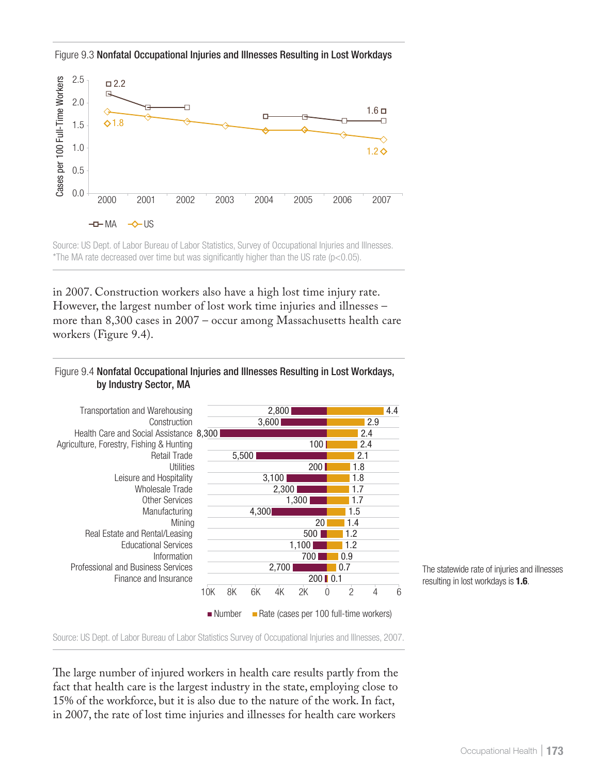



Source: US Dept. of Labor Bureau of Labor Statistics, Survey of Occupational Injuries and Illnesses. \*The MA rate decreased over time but was significantly higher than the US rate (p<0.05).

in 2007. Construction workers also have a high lost time injury rate. However, the largest number of lost work time injuries and illnesses – more than 8,300 cases in 2007 – occur among Massachusetts health care workers (Figure 9.4).

#### Figure 9.4 Nonfatal Occupational Injuries and Illnesses Resulting in Lost Workdays, by Industry Sector, MA



The statewide rate of injuries and illnesses resulting in lost workdays is 1.6.

Source: US Dept. of Labor Bureau of Labor Statistics Survey of Occupational Injuries and Illnesses, 2007.

The large number of injured workers in health care results partly from the fact that health care is the largest industry in the state, employing close to 15% of the workforce, but it is also due to the nature of the work. In fact, in 2007, the rate of lost time injuries and illnesses for health care workers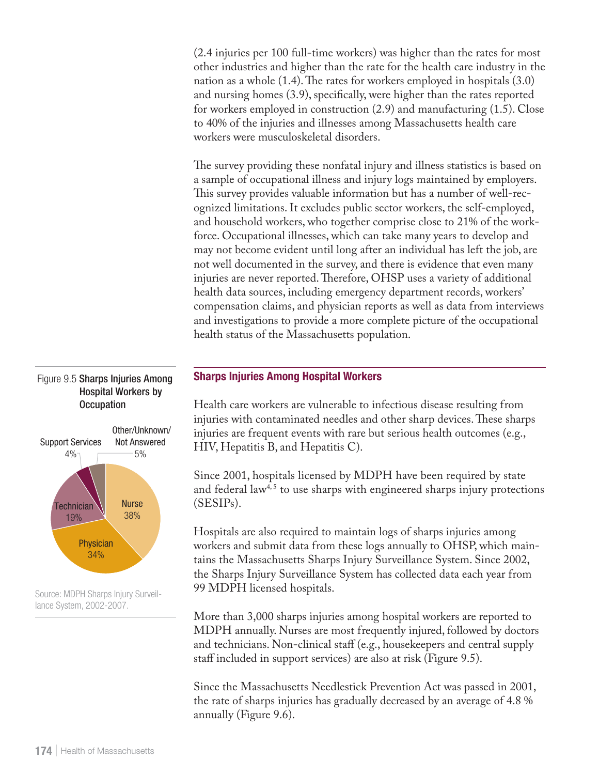(2.4 injuries per 100 full-time workers) was higher than the rates for most other industries and higher than the rate for the health care industry in the nation as a whole (1.4). The rates for workers employed in hospitals (3.0) and nursing homes (3.9), specifically, were higher than the rates reported for workers employed in construction (2.9) and manufacturing (1.5). Close to 40% of the injuries and illnesses among Massachusetts health care workers were musculoskeletal disorders.

The survey providing these nonfatal injury and illness statistics is based on a sample of occupational illness and injury logs maintained by employers. This survey provides valuable information but has a number of well-recognized limitations. It excludes public sector workers, the self-employed, and household workers, who together comprise close to 21% of the workforce. Occupational illnesses, which can take many years to develop and may not become evident until long after an individual has left the job, are not well documented in the survey, and there is evidence that even many injuries are never reported. Therefore, OHSP uses a variety of additional health data sources, including emergency department records, workers' compensation claims, and physician reports as well as data from interviews and investigations to provide a more complete picture of the occupational health status of the Massachusetts population.

### Hospital Workers by Occupation



Source: MDPH Sharps Injury Surveillance System, 2002-2007.

#### Figure 9.5 Sharps Injuries Among Sharps Injuries Among Hospital Workers

Health care workers are vulnerable to infectious disease resulting from injuries with contaminated needles and other sharp devices. These sharps injuries are frequent events with rare but serious health outcomes (e.g., HIV, Hepatitis B, and Hepatitis C).

and federal law<sup>4,5</sup> to use sharps with engineered sharps injury protections Since 2001, hospitals licensed by MDPH have been required by state (SESIPs).

Hospitals are also required to maintain logs of sharps injuries among workers and submit data from these logs annually to OHSP, which maintains the Massachusetts Sharps Injury Surveillance System. Since 2002, the Sharps Injury Surveillance System has collected data each year from 99 MDPH licensed hospitals.

More than 3,000 sharps injuries among hospital workers are reported to MDPH annually. Nurses are most frequently injured, followed by doctors and technicians. Non-clinical staff (e.g., housekeepers and central supply staff included in support services) are also at risk (Figure 9.5).

Since the Massachusetts Needlestick Prevention Act was passed in 2001, the rate of sharps injuries has gradually decreased by an average of 4.8 % annually (Figure 9.6).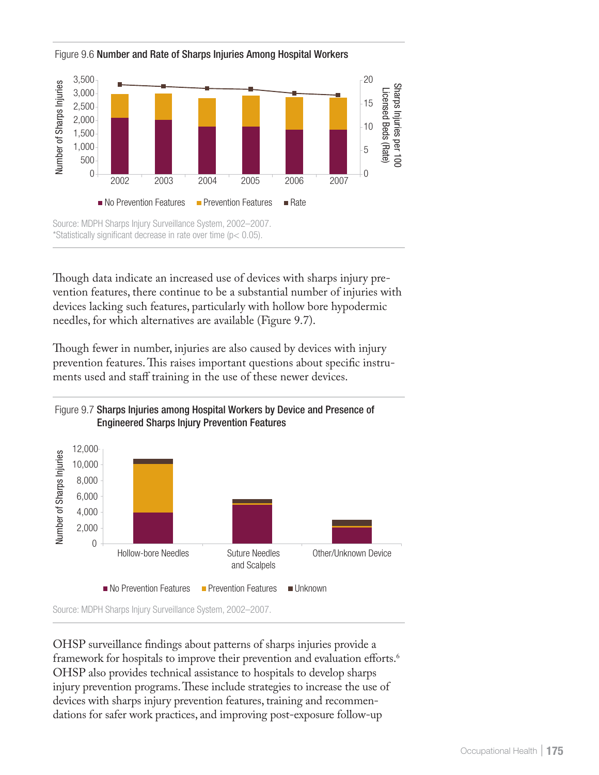

Figure 9.6 Number and Rate of Sharps Injuries Among Hospital Workers

Though data indicate an increased use of devices with sharps injury prevention features, there continue to be a substantial number of injuries with devices lacking such features, particularly with hollow bore hypodermic needles, for which alternatives are available (Figure 9.7).

Though fewer in number, injuries are also caused by devices with injury prevention features. This raises important questions about specific instruments used and staff training in the use of these newer devices.



Figure 9.7 Sharps Injuries among Hospital Workers by Device and Presence of Engineered Sharps Injury Prevention Features

 OHSP surveillance findings about patterns of sharps injuries provide a injury prevention programs. These include strategies to increase the use of dations for safer work practices, and improving post-exposure follow-up framework for hospitals to improve their prevention and evaluation efforts.<sup>6</sup> OHSP also provides technical assistance to hospitals to develop sharps devices with sharps injury prevention features, training and recommen-

Source: MDPH Sharps Injury Surveillance System, 2002–2007.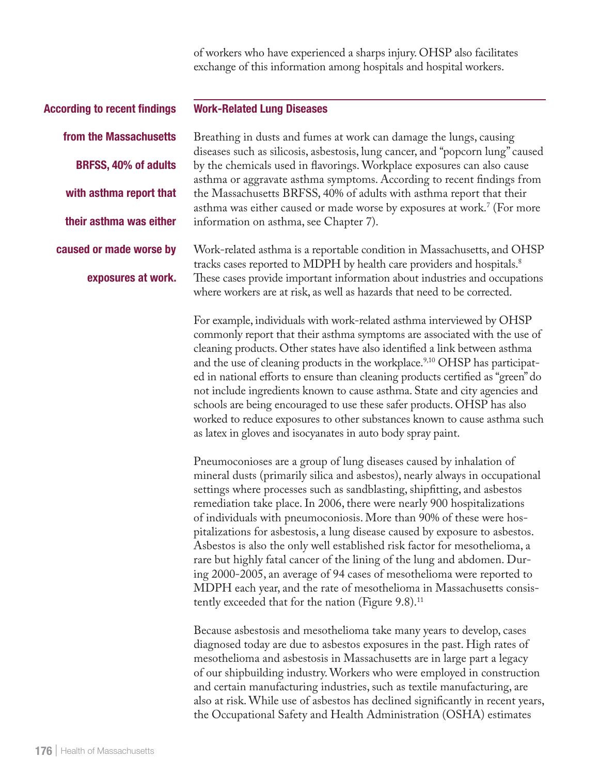of workers who have experienced a sharps injury. OHSP also facilitates exchange of this information among hospitals and hospital workers.

 These cases provide important information about industries and occupations For example, individuals with work-related asthma interviewed by OHSP commonly report that their asthma symptoms are associated with the use of cleaning products. Other states have also identified a link between asthma ed in national efforts to ensure than cleaning products certified as "green" do not include ingredients known to cause asthma. State and city agencies and schools are being encouraged to use these safer products. OHSP has also worked to reduce exposures to other substances known to cause asthma such According to recent findings Work-Related Lung Diseases from the Massachusetts BRFSS, 40% of adults with asthma report that their asthma was either caused or made worse by exposures at work. Breathing in dusts and fumes at work can damage the lungs, causing diseases such as silicosis, asbestosis, lung cancer, and "popcorn lung" caused by the chemicals used in flavorings. Workplace exposures can also cause asthma or aggravate asthma symptoms. According to recent findings from the Massachusetts BRFSS, 40% of adults with asthma report that their asthma was either caused or made worse by exposures at work.7 (For more information on asthma, see Chapter 7). Work-related asthma is a reportable condition in Massachusetts, and OHSP tracks cases reported to MDPH by health care providers and hospitals.<sup>8</sup> where workers are at risk, as well as hazards that need to be corrected. and the use of cleaning products in the workplace.<sup>9,10</sup> OHSP has participatas latex in gloves and isocyanates in auto body spray paint. Pneumoconioses are a group of lung diseases caused by inhalation of mineral dusts (primarily silica and asbestos), nearly always in occupational settings where processes such as sandblasting, shipfitting, and asbestos remediation take place. In 2006, there were nearly 900 hospitalizations of individuals with pneumoconiosis. More than 90% of these were hospitalizations for asbestosis, a lung disease caused by exposure to asbestos.

Asbestos is also the only well established risk factor for mesothelioma, a rare but highly fatal cancer of the lining of the lung and abdomen. During 2000-2005, an average of 94 cases of mesothelioma were reported to MDPH each year, and the rate of mesothelioma in Massachusetts consistently exceeded that for the nation (Figure  $9.8$ ).<sup>11</sup>

Because asbestosis and mesothelioma take many years to develop, cases diagnosed today are due to asbestos exposures in the past. High rates of mesothelioma and asbestosis in Massachusetts are in large part a legacy of our shipbuilding industry. Workers who were employed in construction and certain manufacturing industries, such as textile manufacturing, are also at risk. While use of asbestos has declined significantly in recent years, the Occupational Safety and Health Administration (OSHA) estimates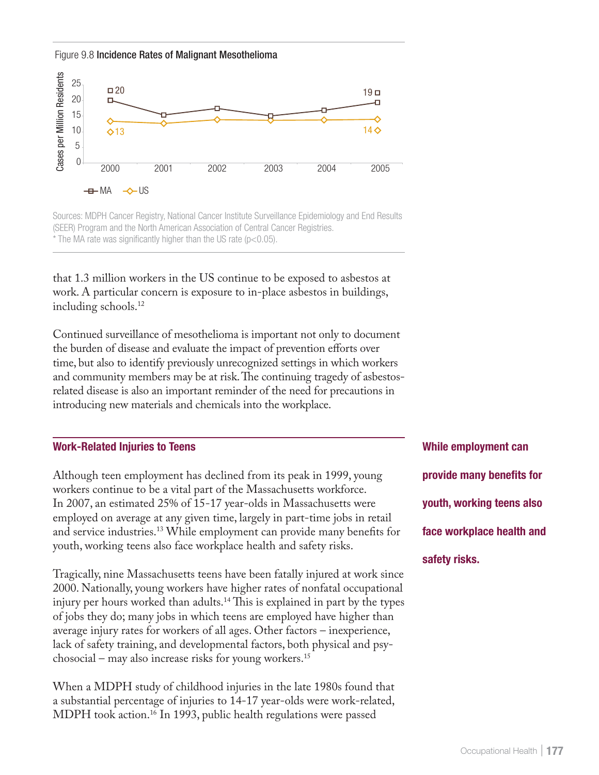Figure 9.8 Incidence Rates of Malignant Mesothelioma



Sources: MDPH Cancer Registry, National Cancer Institute Surveillance Epidemiology and End Results (SEER) Program and the North American Association of Central Cancer Registries. \* The MA rate was significantly higher than the US rate (p<0.05).

that 1.3 million workers in the US continue to be exposed to asbestos at work. A particular concern is exposure to in-place asbestos in buildings, including schools.12

 the burden of disease and evaluate the impact of prevention efforts over time, but also to identify previously unrecognized settings in which workers related disease is also an important reminder of the need for precautions in Continued surveillance of mesothelioma is important not only to document and community members may be at risk. The continuing tragedy of asbestosintroducing new materials and chemicals into the workplace.

#### Work-Related Injuries to Teens Work-Related Injuries to Teens While employment can

Although teen employment has declined from its peak in 1999, young workers continue to be a vital part of the Massachusetts workforce. In 2007, an estimated 25% of 15-17 year-olds in Massachusetts were employed on average at any given time, largely in part-time jobs in retail and service industries.13 While employment can provide many benefits for youth, working teens also face workplace health and safety risks.

Tragically, nine Massachusetts teens have been fatally injured at work since 2000. Nationally, young workers have higher rates of nonfatal occupational injury per hours worked than adults.14 This is explained in part by the types of jobs they do; many jobs in which teens are employed have higher than average injury rates for workers of all ages. Other factors – inexperience, lack of safety training, and developmental factors, both physical and psychosocial – may also increase risks for young workers.<sup>15</sup>

When a MDPH study of childhood injuries in the late 1980s found that a substantial percentage of injuries to 14-17 year-olds were work-related, MDPH took action.16 In 1993, public health regulations were passed

provide many benefits for youth, working teens also face workplace health and safety risks.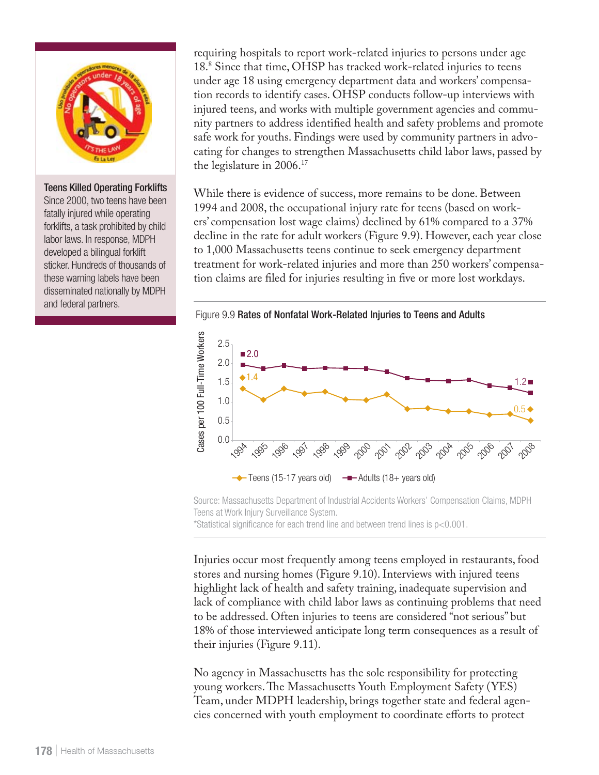

#### Teens Killed Operating Forklifts

 Since 2000, two teens have been fatally injured while operating forklifts, a task prohibited by child labor laws. In response, MDPH sticker. Hundreds of thousands of disseminated nationally by MDPH developed a bilingual forklift these warning labels have been and federal partners.

requiring hospitals to report work-related injuries to persons under age 18.8 Since that time, OHSP has tracked work-related injuries to teens under age 18 using emergency department data and workers' compensation records to identify cases. OHSP conducts follow-up interviews with injured teens, and works with multiple government agencies and community partners to address identified health and safety problems and promote safe work for youths. Findings were used by community partners in advocating for changes to strengthen Massachusetts child labor laws, passed by the legislature in 2006.<sup>17</sup>

While there is evidence of success, more remains to be done. Between 1994 and 2008, the occupational injury rate for teens (based on workers' compensation lost wage claims) declined by 61% compared to a 37% decline in the rate for adult workers (Figure 9.9). However, each year close to 1,000 Massachusetts teens continue to seek emergency department treatment for work-related injuries and more than 250 workers' compensation claims are filed for injuries resulting in five or more lost workdays.





Source: Massachusetts Department of Industrial Accidents Workers' Compensation Claims, MDPH Teens at Work Injury Surveillance System.

\*Statistical significance for each trend line and between trend lines is p<0.001.

Injuries occur most frequently among teens employed in restaurants, food stores and nursing homes (Figure 9.10). Interviews with injured teens highlight lack of health and safety training, inadequate supervision and lack of compliance with child labor laws as continuing problems that need to be addressed. Often injuries to teens are considered "not serious" but 18% of those interviewed anticipate long term consequences as a result of their injuries (Figure 9.11).

No agency in Massachusetts has the sole responsibility for protecting young workers. The Massachusetts Youth Employment Safety (YES) Team, under MDPH leadership, brings together state and federal agencies concerned with youth employment to coordinate efforts to protect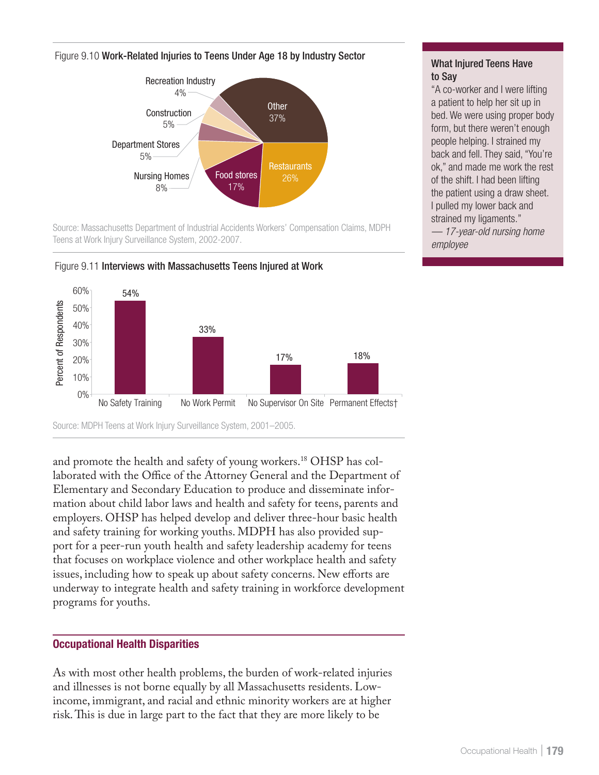#### Figure 9.10 Work-Related Injuries to Teens Under Age 18 by Industry Sector



Source: Massachusetts Department of Industrial Accidents Workers' Compensation Claims, MDPH Teens at Work Injury Surveillance System, 2002-2007.



Figure 9.11 Interviews with Massachusetts Teens Injured at Work

and promote the health and safety of young workers.18 OHSP has collaborated with the Office of the Attorney General and the Department of Elementary and Secondary Education to produce and disseminate information about child labor laws and health and safety for teens, parents and employers. OHSP has helped develop and deliver three-hour basic health and safety training for working youths. MDPH has also provided support for a peer-run youth health and safety leadership academy for teens that focuses on workplace violence and other workplace health and safety issues, including how to speak up about safety concerns. New efforts are underway to integrate health and safety training in workforce development programs for youths.

#### Occupational Health Disparities

As with most other health problems, the burden of work-related injuries and illnesses is not borne equally by all Massachusetts residents. Lowincome, immigrant, and racial and ethnic minority workers are at higher risk. This is due in large part to the fact that they are more likely to be

#### What Injured Teens Have to Say

 back and fell. They said, "You're "A co-worker and I were lifting a patient to help her sit up in bed. We were using proper body form, but there weren't enough people helping. I strained my ok," and made me work the rest of the shift. I had been lifting the patient using a draw sheet. I pulled my lower back and strained my ligaments." *— 17-year-old nursing home employee*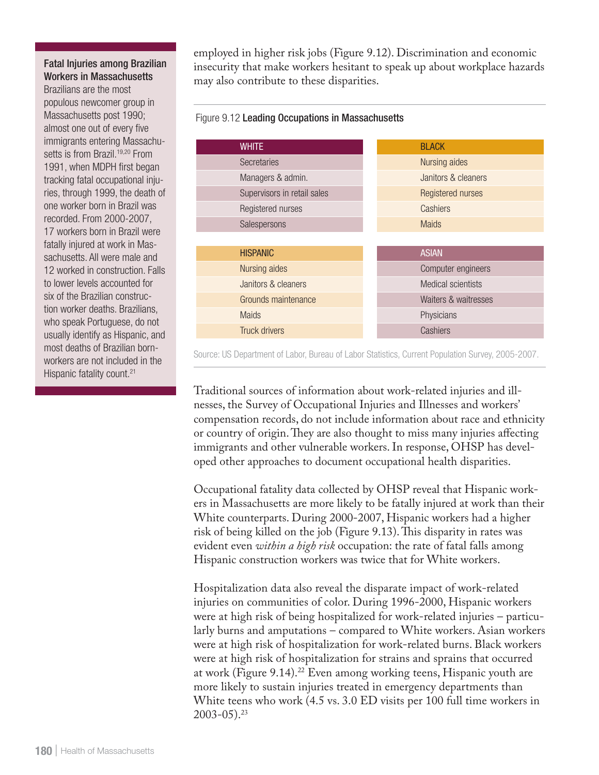#### Fatal Injuries among Brazilian Workers in Massachusetts

Brazilians are the most populous newcomer group in Massachusetts post 1990; almost one out of every five immigrants entering Massachusetts is from Brazil.<sup>19,20</sup> From 1991, when MDPH first began tracking fatal occupational injuries, through 1999, the death of one worker born in Brazil was recorded. From 2000-2007, 17 workers born in Brazil were fatally injured at work in Massachusetts. All were male and 12 worked in construction. Falls to lower levels accounted for six of the Brazilian construction worker deaths. Brazilians, who speak Portuguese, do not usually identify as Hispanic, and most deaths of Brazilian bornworkers are not included in the Hispanic fatality count.<sup>21</sup>

employed in higher risk jobs (Figure 9.12). Discrimination and economic insecurity that make workers hesitant to speak up about workplace hazards may also contribute to these disparities.

#### Figure 9.12 Leading Occupations in Massachusetts

| <b>WHITE</b>                | <b>BLACK</b>         |  |
|-----------------------------|----------------------|--|
| <b>Secretaries</b>          | Nursing aides        |  |
| Managers & admin.           | Janitors & cleaners  |  |
| Supervisors in retail sales | Registered nurses    |  |
| Registered nurses           | Cashiers             |  |
| Salespersons                | <b>Maids</b>         |  |
|                             |                      |  |
| <b>HISPANIC</b>             | <b>ASIAN</b>         |  |
| Nursing aides               | Computer engineers   |  |
| Janitors & cleaners         | Medical scientists   |  |
| Grounds maintenance         | Waiters & waitresses |  |
| <b>Maids</b>                | Physicians           |  |
| <b>Truck drivers</b>        | Cashiers             |  |
|                             |                      |  |

Source: US Department of Labor, Bureau of Labor Statistics, Current Population Survey, 2005-2007.

Traditional sources of information about work-related injuries and illnesses, the Survey of Occupational Injuries and Illnesses and workers' compensation records, do not include information about race and ethnicity or country of origin. They are also thought to miss many injuries affecting immigrants and other vulnerable workers. In response, OHSP has developed other approaches to document occupational health disparities.

Occupational fatality data collected by OHSP reveal that Hispanic workers in Massachusetts are more likely to be fatally injured at work than their White counterparts. During 2000-2007, Hispanic workers had a higher risk of being killed on the job (Figure 9.13). This disparity in rates was evident even *within a high risk* occupation: the rate of fatal falls among Hispanic construction workers was twice that for White workers.

 injuries on communities of color. During 1996-2000, Hispanic workers larly burns and amputations – compared to White workers. Asian workers were at high risk of hospitalization for work-related burns. Black workers were at high risk of hospitalization for strains and sprains that occurred at work (Figure 9.14).<sup>22</sup> Even among working teens, Hispanic youth are White teens who work (4.5 vs. 3.0 ED visits per 100 full time workers in Hospitalization data also reveal the disparate impact of work-related were at high risk of being hospitalized for work-related injuries – particumore likely to sustain injuries treated in emergency departments than  $2003 - 05$ ).<sup>23</sup>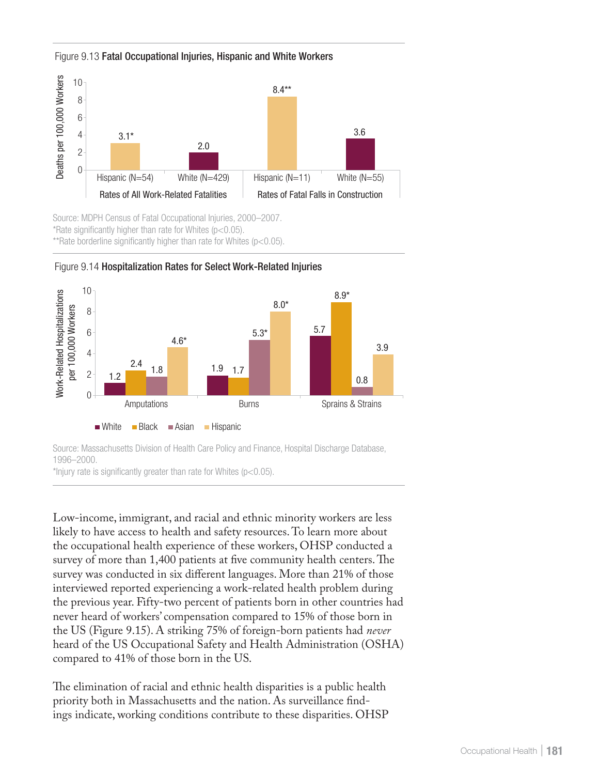



Source: MDPH Census of Fatal Occupational Injuries, 2000–2007. \*Rate significantly higher than rate for Whites (p<0.05). \*\*Rate borderline significantly higher than rate for Whites (p<0.05).



Figure 9.14 Hospitalization Rates for Select Work-Related Injuries

Source: Massachusetts Division of Health Care Policy and Finance, Hospital Discharge Database, 1996–2000.

Low-income, immigrant, and racial and ethnic minority workers are less likely to have access to health and safety resources. To learn more about the occupational health experience of these workers, OHSP conducted a survey of more than 1,400 patients at five community health centers. The survey was conducted in six different languages. More than 21% of those interviewed reported experiencing a work-related health problem during the previous year. Fifty-two percent of patients born in other countries had never heard of workers' compensation compared to 15% of those born in the US (Figure 9.15). A striking 75% of foreign-born patients had *never*  heard of the US Occupational Safety and Health Administration (OSHA) compared to 41% of those born in the US.

The elimination of racial and ethnic health disparities is a public health priority both in Massachusetts and the nation. As surveillance findings indicate, working conditions contribute to these disparities. OHSP

<sup>\*</sup>Injury rate is significantly greater than rate for Whites (p<0.05).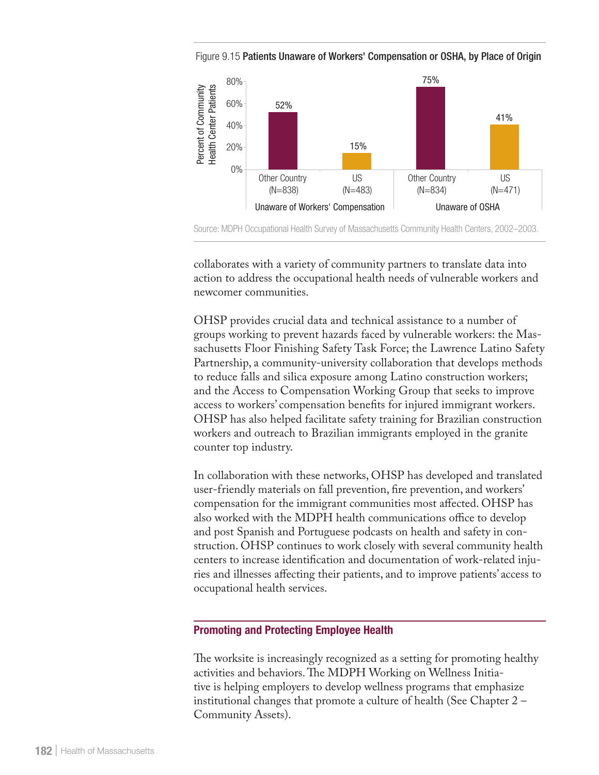

Figure 9.15 Patients Unaware of Workers' Compensation or OSHA, by Place of Origin

Source: MDPH Occupational Health Survey of Massachusetts Community Health Centers, 2002–2003.

collaborates with a variety of community partners to translate data into action to address the occupational health needs of vulnerable workers and newcomer communities.

 OHSP provides crucial data and technical assistance to a number of sachusetts Floor Finishing Safety Task Force; the Lawrence Latino Safety Partnership, a community-university collaboration that develops methods and the Access to Compensation Working Group that seeks to improve OHSP has also helped facilitate safety training for Brazilian construction workers and outreach to Brazilian immigrants employed in the granite groups working to prevent hazards faced by vulnerable workers: the Masto reduce falls and silica exposure among Latino construction workers; access to workers' compensation benefits for injured immigrant workers. counter top industry.

In collaboration with these networks, OHSP has developed and translated user-friendly materials on fall prevention, fire prevention, and workers' compensation for the immigrant communities most affected. OHSP has also worked with the MDPH health communications office to develop and post Spanish and Portuguese podcasts on health and safety in construction. OHSP continues to work closely with several community health centers to increase identification and documentation of work-related injuries and illnesses affecting their patients, and to improve patients' access to occupational health services.

#### Promoting and Protecting Employee Health

The worksite is increasingly recognized as a setting for promoting healthy activities and behaviors. The MDPH Working on Wellness Initiative is helping employers to develop wellness programs that emphasize institutional changes that promote a culture of health (See Chapter 2 – Community Assets).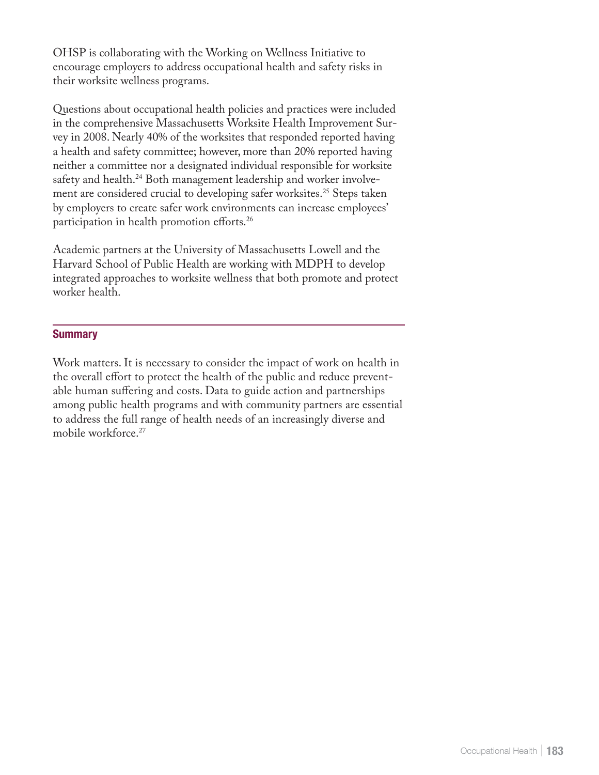OHSP is collaborating with the Working on Wellness Initiative to encourage employers to address occupational health and safety risks in their worksite wellness programs.

Questions about occupational health policies and practices were included in the comprehensive Massachusetts Worksite Health Improvement Survey in 2008. Nearly 40% of the worksites that responded reported having a health and safety committee; however, more than 20% reported having neither a committee nor a designated individual responsible for worksite safety and health.<sup>24</sup> Both management leadership and worker involvement are considered crucial to developing safer worksites.<sup>25</sup> Steps taken by employers to create safer work environments can increase employees' participation in health promotion efforts.26

Academic partners at the University of Massachusetts Lowell and the Harvard School of Public Health are working with MDPH to develop integrated approaches to worksite wellness that both promote and protect worker health.

#### **Summary**

 Work matters. It is necessary to consider the impact of work on health in able human suffering and costs. Data to guide action and partnerships among public health programs and with community partners are essential to address the full range of health needs of an increasingly diverse and the overall effort to protect the health of the public and reduce preventmobile workforce.27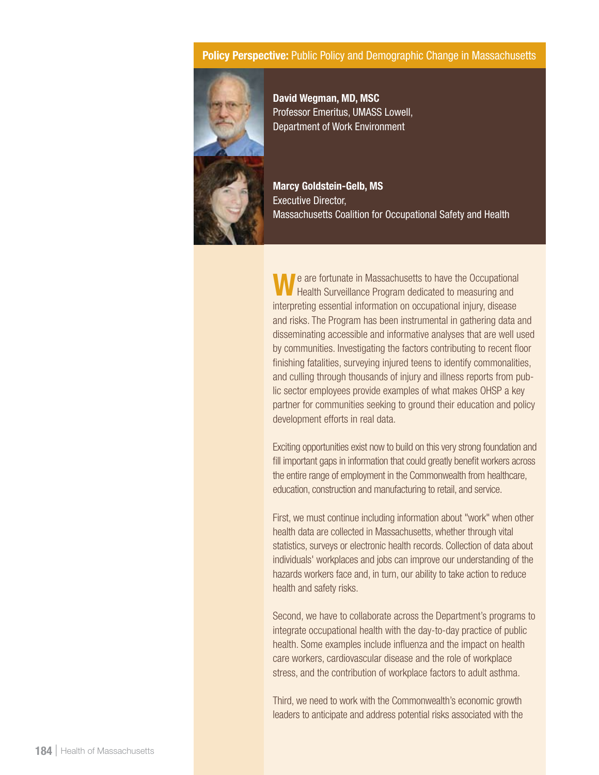#### Policy Perspective: Public Policy and Demographic Change in Massachusetts



 Professor Emeritus, UMASS Lowell, David Wegman, MD, MSC Department of Work Environment

 Executive Director, Marcy Goldstein-Gelb, MS Massachusetts Coalition for Occupational Safety and Health

e are fortunate in Massachusetts to have the Occupational **Health Surveillance Program dedicated to measuring and** interpreting essential information on occupational injury, disease and risks. The Program has been instrumental in gathering data and disseminating accessible and informative analyses that are well used by communities. Investigating the factors contributing to recent floor finishing fatalities, surveying injured teens to identify commonalities, and culling through thousands of injury and illness reports from public sector employees provide examples of what makes OHSP a key partner for communities seeking to ground their education and policy development efforts in real data.

Exciting opportunities exist now to build on this very strong foundation and fill important gaps in information that could greatly benefit workers across the entire range of employment in the Commonwealth from healthcare, education, construction and manufacturing to retail, and service.

 health data are collected in Massachusetts, whether through vital individuals' workplaces and jobs can improve our understanding of the First, we must continue including information about "work" when other statistics, surveys or electronic health records. Collection of data about hazards workers face and, in turn, our ability to take action to reduce health and safety risks.

Second, we have to collaborate across the Department's programs to integrate occupational health with the day-to-day practice of public health. Some examples include influenza and the impact on health care workers, cardiovascular disease and the role of workplace stress, and the contribution of workplace factors to adult asthma.

 leaders to anticipate and address potential risks associated with the Third, we need to work with the Commonwealth's economic growth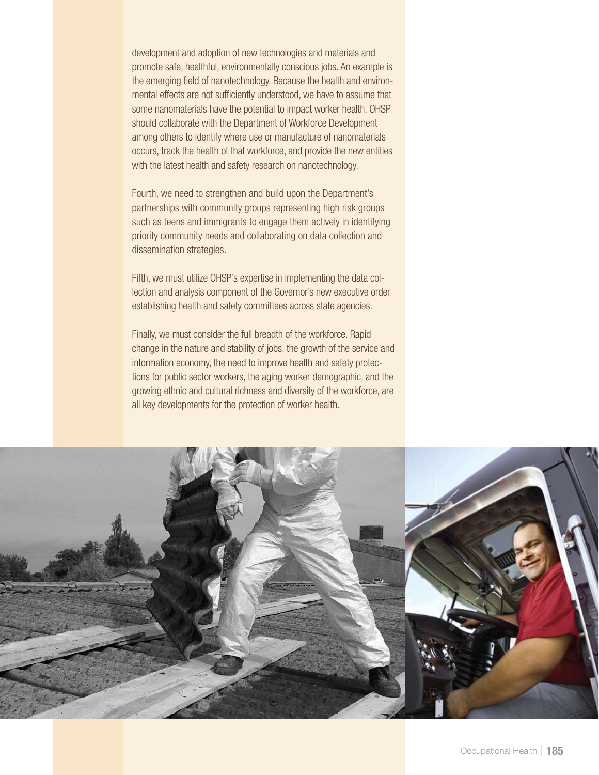development and adoption of new technologies and materials and promote safe, healthful, environmentally conscious jobs. An example is should collaborate with the Department of Workforce Development the emerging field of nanotechnology. Because the health and environmental effects are not sufficiently understood, we have to assume that some nanomaterials have the potential to impact worker health. OHSP among others to identify where use or manufacture of nanomaterials occurs, track the health of that workforce, and provide the new entities with the latest health and safety research on nanotechnology.

Fourth, we need to strengthen and build upon the Department's partnerships with community groups representing high risk groups such as teens and immigrants to engage them actively in identifying priority community needs and collaborating on data collection and dissemination strategies.

Fifth, we must utilize OHSP's expertise in implementing the data collection and analysis component of the Governor's new executive order establishing health and safety committees across state agencies.

 Finally, we must consider the full breadth of the workforce. Rapid tions for public sector workers, the aging worker demographic, and the change in the nature and stability of jobs, the growth of the service and information economy, the need to improve health and safety protecgrowing ethnic and cultural richness and diversity of the workforce, are all key developments for the protection of worker health.

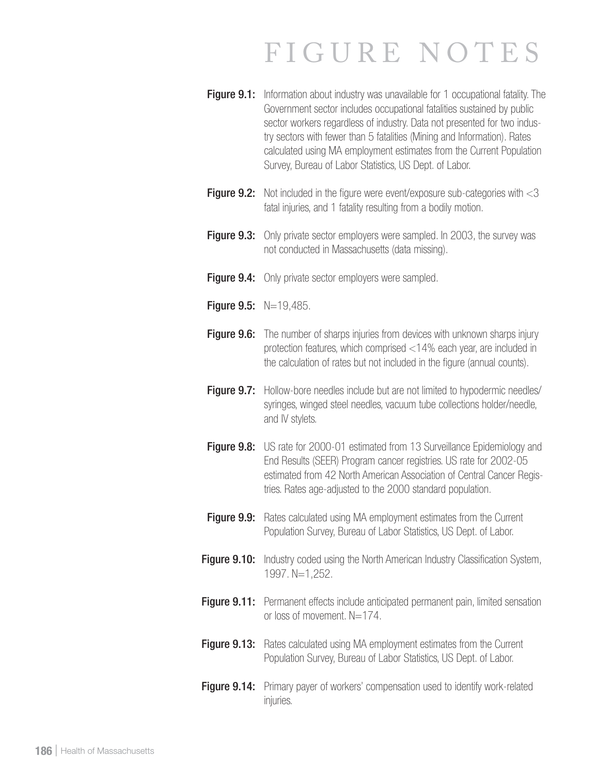### FIGURE NOTES

- **Figure 9.1:** Information about industry was unavailable for 1 occupational fatality. The Government sector includes occupational fatalities sustained by public sector workers regardless of industry. Data not presented for two industry sectors with fewer than 5 fatalities (Mining and Information). Rates calculated using MA employment estimates from the Current Population Survey, Bureau of Labor Statistics, US Dept. of Labor.
- **Figure 9.2:** Not included in the figure were event/exposure sub-categories with  $<$ 3 fatal injuries, and 1 fatality resulting from a bodily motion.
- **Figure 9.3:** Only private sector employers were sampled. In 2003, the survey was not conducted in Massachusetts (data missing).
- **Figure 9.4:** Only private sector employers were sampled.
- **Figure 9.5:**  $N=19,485$ .
- **Figure 9.6:** The number of sharps injuries from devices with unknown sharps injury protection features, which comprised <14% each year, are included in the calculation of rates but not included in the figure (annual counts).
- **Figure 9.7:** Hollow-bore needles include but are not limited to hypodermic needles/ syringes, winged steel needles, vacuum tube collections holder/needle, and IV stylets.
- Figure 9.8: US rate for 2000-01 estimated from 13 Surveillance Epidemiology and End Results (SEER) Program cancer registries. US rate for 2002-05 estimated from 42 North American Association of Central Cancer Registries. Rates age-adjusted to the 2000 standard population.
- **Figure 9.9:** Rates calculated using MA employment estimates from the Current Population Survey, Bureau of Labor Statistics, US Dept. of Labor.
- Figure 9.10: Industry coded using the North American Industry Classification System, 1997. N=1,252.
- **Figure 9.11:** Permanent effects include anticipated permanent pain, limited sensation or loss of movement. N=174.
- **Figure 9.13:** Rates calculated using MA employment estimates from the Current Population Survey, Bureau of Labor Statistics, US Dept. of Labor.
- **Figure 9.14:** Primary payer of workers' compensation used to identify work-related injuries.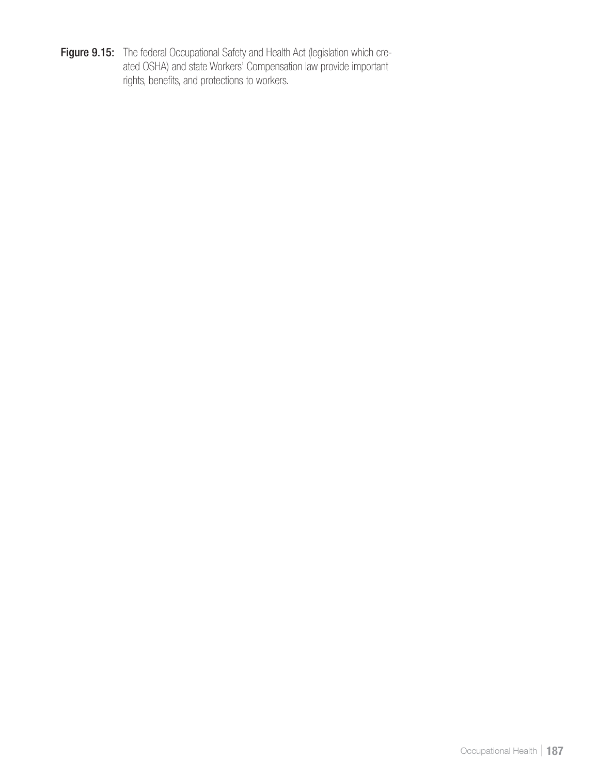Figure 9.15: The federal Occupational Safety and Health Act (legislation which cre ated OSHA) and state Workers' Compensation law provide important rights, benefits, and protections to workers.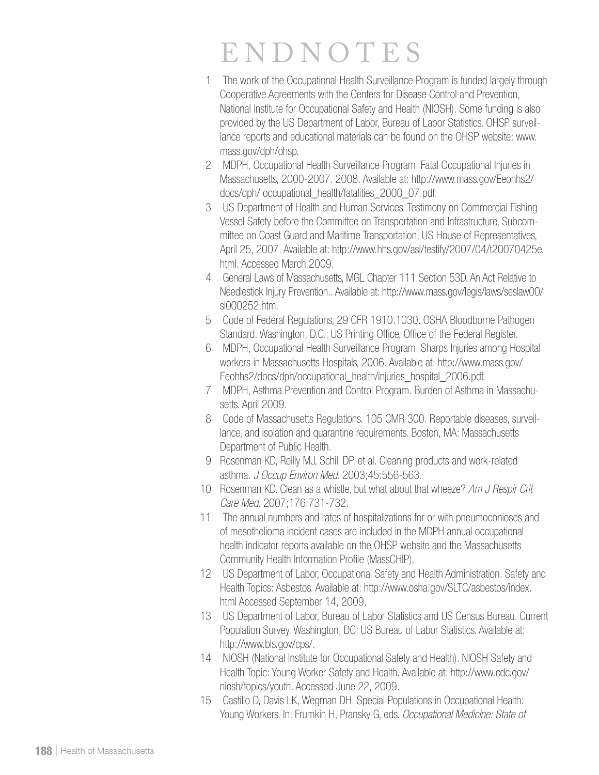## ENDNOTES

- 1 The work of the Occupational Health Surveillance Program is funded largely through Cooperative Agreements with the Centers for Disease Control and Prevention, National Institute for Occupational Safety and Health (NIOSH). Some funding is also provided by the US Department of Labor, Bureau of Labor Statistics. OHSP surveil[lance reports and educational materials can be found on the OHSP website: www.](www.mass.gov/dph/ohsp) mass.gov/dph/ohsp.
- 2 MDPH, Occupational Health Surveillance Program. Fatal Occupational Injuries in [Massachusetts, 2000-2007. 2008. Available at: http://www.mass.gov/Eeohhs2/](http://www.mass.gov/Eeohhs2/) docs/dph/ occupational\_health/fatalities\_2000\_07.pdf.
- 3 US Department of Health and Human Services. Testimony on Commercial Fishing Vessel Safety before the Committee on Transportation and Infrastructure, Subcommittee on Coast Guard and Maritime Transportation, US House of Representatives, [April 25, 2007. Available at: http://www.hhs.gov/asl/testify/2007/04/t20070425e.](http://www.hhs.gov/asl/testify/2007/04/t20070425e.html) html. Accessed March 2009.
- 4 General Laws of Massachusetts, MGL Chapter 111 Section 53D. An Act Relative to [Needlestick Injury Prevention.. Available at: http://www.mass.gov/legis/laws/seslaw00/](http://www.mass.gov/legis/laws/seslaw00/sl000252.htm)  sl000252.htm.
- 5 Code of Federal Regulations, 29 CFR 1910.1030. OSHA Bloodborne Pathogen Standard. Washington, D.C.: US Printing Office, Office of the Federal Register.
- 6 MDPH, Occupational Health Surveillance Program. Sharps Injuries among Hospital [workers in Massachusetts Hospitals, 2006. Available at: http://www.mass.gov/](http://www.mass.gov/Eeohhs2/docs/dph/occupational_health/injuries_hospital_2006.pdf) Eeohhs2/docs/dph/occupational\_health/injuries\_hospital\_2006.pdf.
- 7 MDPH, Asthma Prevention and Control Program. Burden of Asthma in Massachusetts. April 2009.
- 8 Code of Massachusetts Regulations. 105 CMR 300. Reportable diseases, surveillance, and isolation and quarantine requirements. Boston, MA: Massachusetts Department of Public Health.
- 9 Rosenman KD, Reilly MJ, Schill DP, et al. Cleaning products and work-related asthma. *J Occup Environ Med*. 2003;45:556-563.
- 10 Rosenman KD. Clean as a whistle, but what about that wheeze? *Am J Respir Crit Care Med*. 2007;176:731-732.
- 11 The annual numbers and rates of hospitalizations for or with pneumoconioses and of mesothelioma incident cases are included in the MDPH annual occupational health indicator reports available on the OHSP website and the Massachusetts Community Health Information Profile (MassCHIP).
- [Health Topics: Asbestos. Available at: http://www.osha.gov/SLTC/asbestos/index.](http://www.osha.gov/SLTC/asbestos/index.html)  12 US Department of Labor, Occupational Safety and Health Administration. Safety and html Accessed September 14, 2009.
- Population Survey. Washington, DC: US Bureau of Labor Statistics. Available at: 13 US Department of Labor, Bureau of Labor Statistics and US Census Bureau. Current <http://www.bls.gov/cps/>.
- 14 NIOSH (National Institute for Occupational Safety and Health). NIOSH Safety and [Health Topic: Young Worker Safety and Health. Available at: http://www.cdc.gov/](http://www.cdc.gov/niosh/topics/youth) niosh/topics/youth. Accessed June 22, 2009.
- 15 Castillo D, Davis LK, Wegman DH. Special Populations in Occupational Health: Young Workers. In: Frumkin H, Pransky G, eds. *Occupational Medicine: State of*